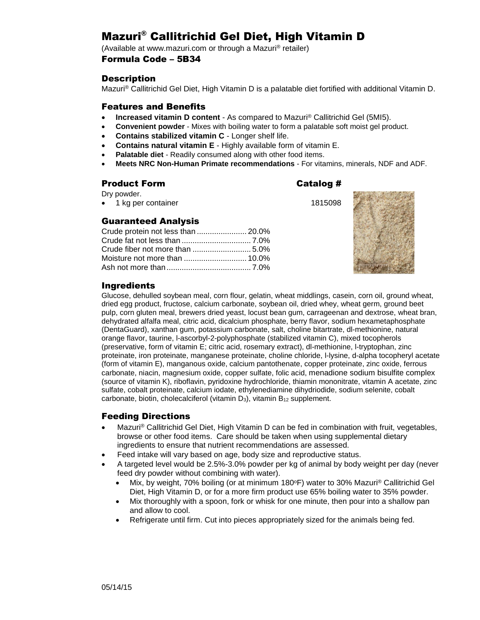# Mazuri® Callitrichid Gel Diet, High Vitamin D

(Available at www.mazuri.com or through a Mazuri® retailer) Formula Code – 5B34

### **Description**

Mazuri® Callitrichid Gel Diet, High Vitamin D is a palatable diet fortified with additional Vitamin D.

### Features and Benefits

- **Increased vitamin D content**  As compared to Mazuri® Callitrichid Gel (5MI5).
- **Convenient powder** Mixes with boiling water to form a palatable soft moist gel product.
- **Contains stabilized vitamin C** Longer shelf life.
- **Contains natural vitamin E** Highly available form of vitamin E.
- **Palatable diet** Readily consumed along with other food items.
- **Meets NRC Non-Human Primate recommendations** For vitamins, minerals, NDF and ADF.

### Product Form Catalog #

Dry powder.

• 1 kg per container 1815098

### Guaranteed Analysis

| Crude protein not less than  20.0% |  |
|------------------------------------|--|
|                                    |  |
|                                    |  |
|                                    |  |
|                                    |  |



### Ingredients

Glucose, dehulled soybean meal, corn flour, gelatin, wheat middlings, casein, corn oil, ground wheat, dried egg product, fructose, calcium carbonate, soybean oil, dried whey, wheat germ, ground beet pulp, corn gluten meal, brewers dried yeast, locust bean gum, carrageenan and dextrose, wheat bran, dehydrated alfalfa meal, citric acid, dicalcium phosphate, berry flavor, sodium hexametaphosphate (DentaGuard), xanthan gum, potassium carbonate, salt, choline bitartrate, dl-methionine, natural orange flavor, taurine, l-ascorbyl-2-polyphosphate (stabilized vitamin C), mixed tocopherols (preservative, form of vitamin E; citric acid, rosemary extract), dl-methionine, l-tryptophan, zinc proteinate, iron proteinate, manganese proteinate, choline chloride, l-lysine, d-alpha tocopheryl acetate (form of vitamin E), manganous oxide, calcium pantothenate, copper proteinate, zinc oxide, ferrous carbonate, niacin, magnesium oxide, copper sulfate, folic acid, menadione sodium bisulfite complex (source of vitamin K), riboflavin, pyridoxine hydrochloride, thiamin mononitrate, vitamin A acetate, zinc sulfate, cobalt proteinate, calcium iodate, ethylenediamine dihydriodide, sodium selenite, cobalt carbonate, biotin, cholecalciferol (vitamin  $D_3$ ), vitamin  $B_{12}$  supplement.

### Feeding Directions

- Mazuri® Callitrichid Gel Diet, High Vitamin D can be fed in combination with fruit, vegetables, browse or other food items. Care should be taken when using supplemental dietary ingredients to ensure that nutrient recommendations are assessed.
- Feed intake will vary based on age, body size and reproductive status.
- A targeted level would be 2.5%-3.0% powder per kg of animal by body weight per day (never feed dry powder without combining with water).
	- Mix, by weight, 70% boiling (or at minimum 180°F) water to 30% Mazuri<sup>®</sup> Callitrichid Gel Diet, High Vitamin D, or for a more firm product use 65% boiling water to 35% powder.
	- Mix thoroughly with a spoon, fork or whisk for one minute, then pour into a shallow pan and allow to cool.
	- Refrigerate until firm. Cut into pieces appropriately sized for the animals being fed.